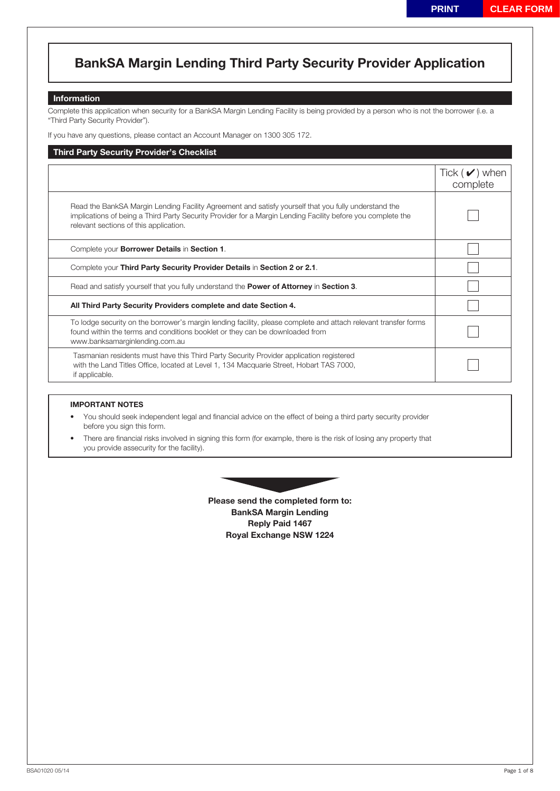# **BankSA Margin Lending Third Party Security Provider Application**

## **Information**

Complete this application when security for a BankSA Margin Lending Facility is being provided by a person who is not the borrower (i.e. a "Third Party Security Provider").

If you have any questions, please contact an Account Manager on 1300 305 172.

| <b>Third Party Security Provider's Checklist</b>                                                                                                                                                                                                              |                               |
|---------------------------------------------------------------------------------------------------------------------------------------------------------------------------------------------------------------------------------------------------------------|-------------------------------|
|                                                                                                                                                                                                                                                               | when<br>lick( V )<br>complete |
| Read the BankSA Margin Lending Facility Agreement and satisfy yourself that you fully understand the<br>implications of being a Third Party Security Provider for a Margin Lending Facility before you complete the<br>relevant sections of this application. |                               |
| Complete your <b>Borrower Details</b> in Section 1.                                                                                                                                                                                                           |                               |
| Complete your Third Party Security Provider Details in Section 2 or 2.1.                                                                                                                                                                                      |                               |
| Read and satisfy yourself that you fully understand the <b>Power of Attorney</b> in <b>Section 3</b> .                                                                                                                                                        |                               |
| All Third Party Security Providers complete and date Section 4.                                                                                                                                                                                               |                               |
| To lodge security on the borrower's margin lending facility, please complete and attach relevant transfer forms<br>found within the terms and conditions booklet or they can be downloaded from<br>www.banksamarginlending.com.au                             |                               |
| Tasmanian residents must have this Third Party Security Provider application registered<br>with the Land Titles Office, located at Level 1, 134 Macquarie Street, Hobart TAS 7000,<br>if applicable.                                                          |                               |

#### **IMPORTANT NOTES**

- You should seek independent legal and financial advice on the effect of being a third party security provider before you sign this form.
- There are financial risks involved in signing this form (for example, there is the risk of losing any property that you provide assecurity for the facility).

**Please send the completed form to: BankSA Margin Lending Reply Paid 1467 Royal Exchange NSW 1224**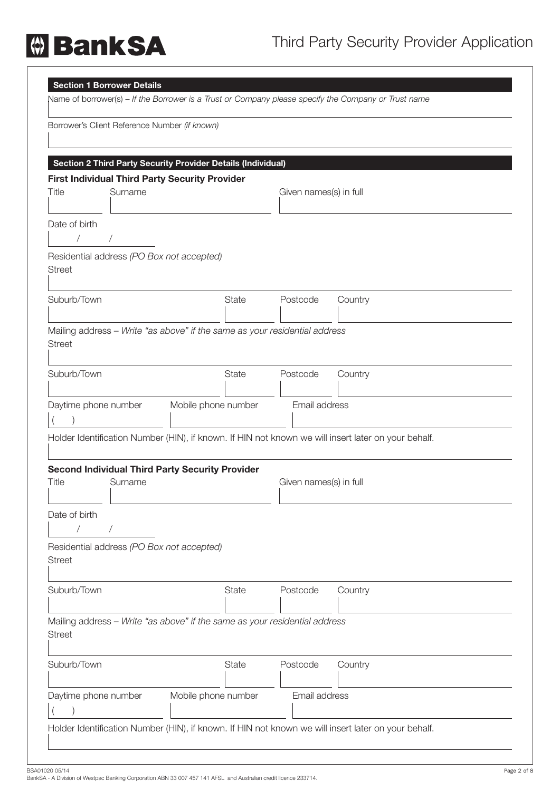|                                                                           | <b>Section 1 Borrower Details</b>                                          |                     |                        | Name of borrower(s) – If the Borrower is a Trust or Company please specify the Company or Trust name |  |
|---------------------------------------------------------------------------|----------------------------------------------------------------------------|---------------------|------------------------|------------------------------------------------------------------------------------------------------|--|
|                                                                           |                                                                            |                     |                        |                                                                                                      |  |
|                                                                           | Borrower's Client Reference Number (if known)                              |                     |                        |                                                                                                      |  |
|                                                                           |                                                                            |                     |                        |                                                                                                      |  |
|                                                                           | Section 2 Third Party Security Provider Details (Individual)               |                     |                        |                                                                                                      |  |
| <b>First Individual Third Party Security Provider</b><br>Surname<br>Title |                                                                            |                     | Given names(s) in full |                                                                                                      |  |
|                                                                           |                                                                            |                     |                        |                                                                                                      |  |
| Date of birth                                                             |                                                                            |                     |                        |                                                                                                      |  |
|                                                                           | Residential address (PO Box not accepted)                                  |                     |                        |                                                                                                      |  |
| <b>Street</b>                                                             |                                                                            |                     |                        |                                                                                                      |  |
| Suburb/Town                                                               |                                                                            | State               | Postcode               | Country                                                                                              |  |
| <b>Street</b>                                                             | Mailing address - Write "as above" if the same as your residential address |                     |                        |                                                                                                      |  |
| Suburb/Town                                                               |                                                                            | <b>State</b>        | Postcode               | Country                                                                                              |  |
| Daytime phone number                                                      |                                                                            | Mobile phone number | Email address          |                                                                                                      |  |
|                                                                           |                                                                            |                     |                        | Holder Identification Number (HIN), if known. If HIN not known we will insert later on your behalf.  |  |
|                                                                           |                                                                            |                     |                        |                                                                                                      |  |
|                                                                           | <b>Second Individual Third Party Security Provider</b>                     |                     |                        |                                                                                                      |  |
|                                                                           | Surname                                                                    |                     | Given names(s) in full |                                                                                                      |  |
|                                                                           |                                                                            |                     |                        |                                                                                                      |  |
| Τ                                                                         |                                                                            |                     |                        |                                                                                                      |  |
|                                                                           | Residential address (PO Box not accepted)                                  |                     |                        |                                                                                                      |  |
|                                                                           |                                                                            |                     |                        |                                                                                                      |  |
|                                                                           |                                                                            |                     |                        |                                                                                                      |  |
|                                                                           |                                                                            | <b>State</b>        | Postcode               | Country                                                                                              |  |
| Title<br>Date of birth<br><b>Street</b><br>Suburb/Town<br><b>Street</b>   | Mailing address - Write "as above" if the same as your residential address |                     |                        |                                                                                                      |  |
|                                                                           |                                                                            |                     |                        |                                                                                                      |  |
|                                                                           |                                                                            | State               | Postcode               | Country                                                                                              |  |
| Suburb/Town<br>Daytime phone number                                       |                                                                            | Mobile phone number | Email address          |                                                                                                      |  |

BSA01020 05/14 Page 2 of 8

**OBankSA**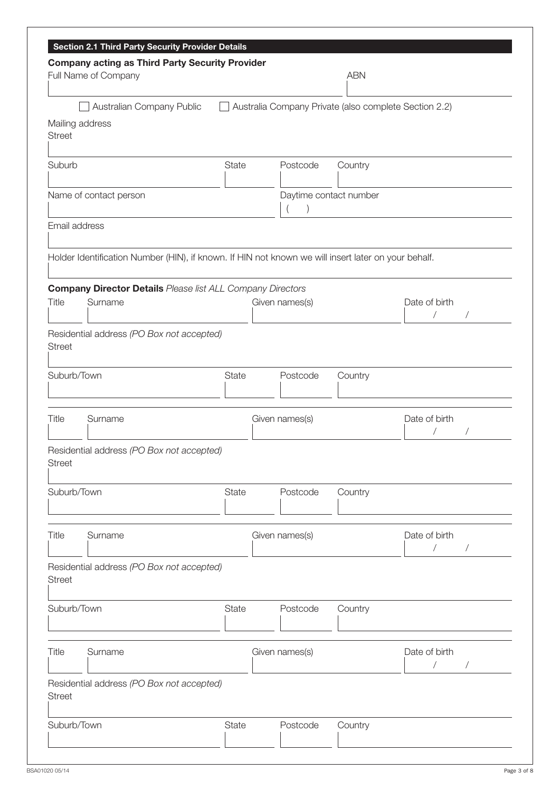|               | Section 2.1 Third Party Security Provider Details                                                   |       |                |                        |                                                       |
|---------------|-----------------------------------------------------------------------------------------------------|-------|----------------|------------------------|-------------------------------------------------------|
|               | <b>Company acting as Third Party Security Provider</b><br>Full Name of Company                      |       |                | <b>ABN</b>             |                                                       |
|               | Australian Company Public                                                                           |       |                |                        | Australia Company Private (also complete Section 2.2) |
| <b>Street</b> | Mailing address                                                                                     |       |                |                        |                                                       |
| Suburb        |                                                                                                     | State | Postcode       | Country                |                                                       |
|               | Name of contact person                                                                              |       |                | Daytime contact number |                                                       |
| Email address |                                                                                                     |       |                |                        |                                                       |
|               | Holder Identification Number (HIN), if known. If HIN not known we will insert later on your behalf. |       |                |                        |                                                       |
| Title         | <b>Company Director Details Please list ALL Company Directors</b><br>Surname                        |       | Given names(s) |                        | Date of birth<br>$\sqrt{2}$                           |
| <b>Street</b> | Residential address (PO Box not accepted)                                                           |       |                |                        |                                                       |
| Suburb/Town   |                                                                                                     | State | Postcode       | Country                |                                                       |
| Title         | Surname                                                                                             |       | Given names(s) |                        | Date of birth<br>$\sqrt{2}$                           |
| <b>Street</b> | Residential address (PO Box not accepted)                                                           |       |                |                        |                                                       |
| Suburb/Town   |                                                                                                     | State | Postcode       | Country                |                                                       |
| Title         | Surname                                                                                             |       | Given names(s) |                        | Date of birth<br>$\sqrt{2}$<br>$\sqrt{2}$             |
| <b>Street</b> | Residential address (PO Box not accepted)                                                           |       |                |                        |                                                       |
| Suburb/Town   |                                                                                                     | State | Postcode       | Country                |                                                       |
| Title         | Surname                                                                                             |       | Given names(s) |                        | Date of birth<br>$\sqrt{2}$                           |
| <b>Street</b> | Residential address (PO Box not accepted)                                                           |       |                |                        |                                                       |
| Suburb/Town   |                                                                                                     | State | Postcode       | Country                |                                                       |
|               |                                                                                                     |       |                |                        |                                                       |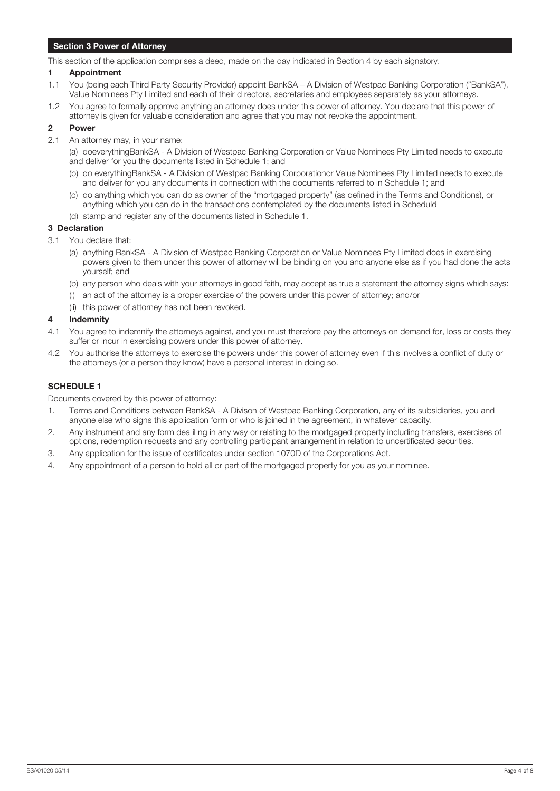## **Section 3 Power of Attorney**

This section of the application comprises a deed, made on the day indicated in Section 4 by each signatory.

#### **1 Appointment**

- 1.1 You (being each Third Party Security Provider) appoint BankSA A Division of Westpac Banking Corporation ("BankSA"), Value Nominees Pty Limited and each of their d rectors, secretaries and employees separately as your attorneys.
- 1.2 You agree to formally approve anything an attorney does under this power of attorney. You declare that this power of attorney is given for valuable consideration and agree that you may not revoke the appointment.

### **2 Power**

- 2.1 An attorney may, in your name:
	- (a) doeverythingBankSA A Division of Westpac Banking Corporation or Value Nominees Pty Limited needs to execute and deliver for you the documents listed in Schedule 1; and
	- (b) do everythingBankSA A Division of Westpac Banking Corporationor Value Nominees Pty Limited needs to execute and deliver for you any documents in connection with the documents referred to in Schedule 1; and
	- (c) do anything which you can do as owner of the "mortgaged property" (as defined in the Terms and Conditions), or anything which you can do in the transactions contemplated by the documents listed in Scheduld
	- (d) stamp and register any of the documents listed in Schedule 1.

## **3 Declaration**

- 3.1 You declare that:
	- (a) anything BankSA A Division of Westpac Banking Corporation or Value Nominees Pty Limited does in exercising powers given to them under this power of attorney will be binding on you and anyone else as if you had done the acts yourself; and
	- (b) any person who deals with your attorneys in good faith, may accept as true a statement the attorney signs which says:
	- (i) an act of the attorney is a proper exercise of the powers under this power of attorney; and/or
	- (ii) this power of attorney has not been revoked.

#### **4 Indemnity**

- 4.1 You agree to indemnify the attorneys against, and you must therefore pay the attorneys on demand for, loss or costs they suffer or incur in exercising powers under this power of attorney.
- 4.2 You authorise the attorneys to exercise the powers under this power of attorney even if this involves a conflict of duty or the attorneys (or a person they know) have a personal interest in doing so.

## **SCHEDULE 1**

Documents covered by this power of attorney:

- 1. Terms and Conditions between BankSA A Divison of Westpac Banking Corporation, any of its subsidiaries, you and anyone else who signs this application form or who is joined in the agreement, in whatever capacity.
- 2. Any instrument and any form dea il ng in any way or relating to the mortgaged property including transfers, exercises of options, redemption requests and any controlling participant arrangement in relation to uncertificated securities.
- 3. Any application for the issue of certificates under section 1070D of the Corporations Act.
- 4. Any appointment of a person to hold all or part of the mortgaged property for you as your nominee.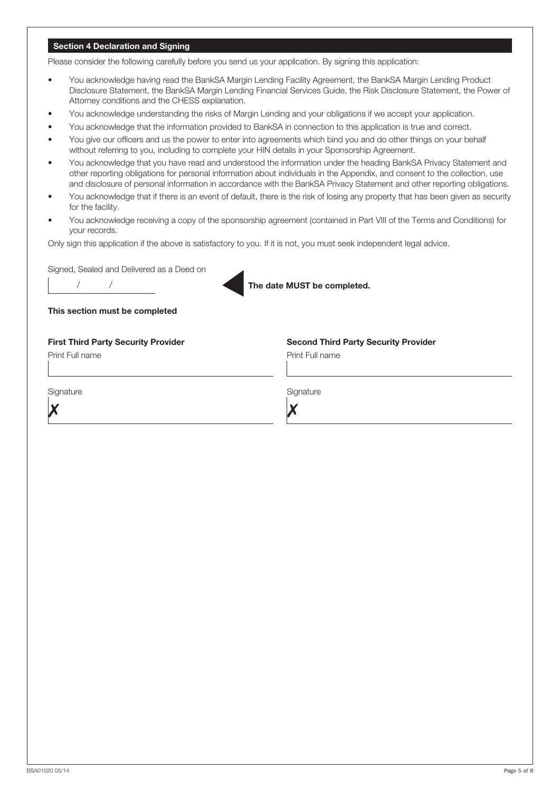## **Section 4 Declaration and Signing**

Please consider the following carefully before you send us your application. By signing this application:

- You acknowledge having read the BankSA Margin Lending Facility Agreement, the BankSA Margin Lending Product Disclosure Statement, the BankSA Margin Lending Financial Services Guide, the Risk Disclosure Statement, the Power of Attorney conditions and the CHESS explanation.
- You acknowledge understanding the risks of Margin Lending and your obligations if we accept your application.
- You acknowledge that the information provided to BankSA in connection to this application is true and correct.
- You give our officers and us the power to enter into agreements which bind you and do other things on your behalf without referring to you, including to complete your HIN details in your Sponsorship Agreement.
- You acknowledge that you have read and understood the information under the heading BankSA Privacy Statement and other reporting obligations for personal information about individuals in the Appendix, and consent to the collection, use and disclosure of personal information in accordance with the BankSA Privacy Statement and other reporting obligations.
- You acknowledge that if there is an event of default, there is the risk of losing any property that has been given as security for the facility.
- You acknowledge receiving a copy of the sponsorship agreement (contained in Part VIII of the Terms and Conditions) for your records.

Only sign this application if the above is satisfactory to you. If it is not, you must seek independent legal advice.

Signed, Sealed and Delivered as a Deed on



**The date MUST be completed.** 

#### **This section must be completed**

## **First Third Party Security Provider Second Third Party Security Provider**

Print Full name Print Full name

Signature Signature Signature Signature Signature Signature Signature Signature Signature

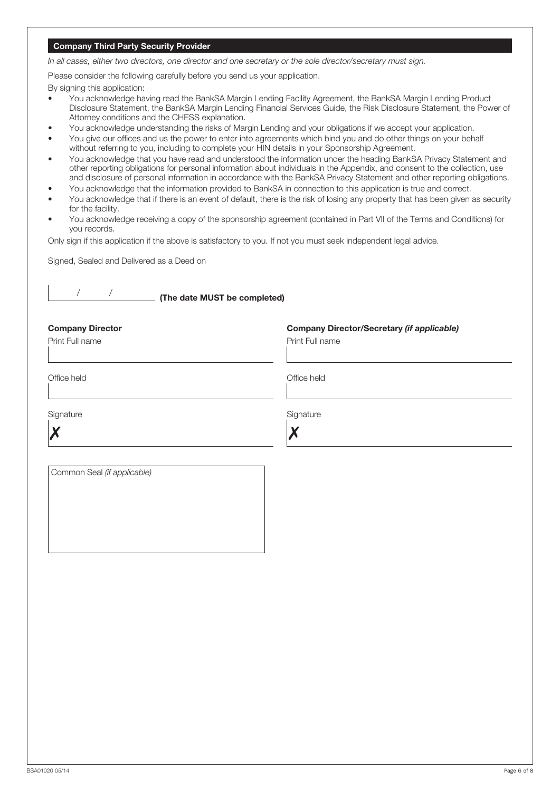## **Company Third Party Security Provider**

*In all cases, either two directors, one director and one secretary or the sole director/secretary must sign.*

Please consider the following carefully before you send us your application.

By signing this application:

- You acknowledge having read the BankSA Margin Lending Facility Agreement, the BankSA Margin Lending Product Disclosure Statement, the BankSA Margin Lending Financial Services Guide, the Risk Disclosure Statement, the Power of Attorney conditions and the CHESS explanation.
- You acknowledge understanding the risks of Margin Lending and your obligations if we accept your application.
- You give our offices and us the power to enter into agreements which bind you and do other things on your behalf without referring to you, including to complete your HIN details in your Sponsorship Agreement.
- You acknowledge that you have read and understood the information under the heading BankSA Privacy Statement and other reporting obligations for personal information about individuals in the Appendix, and consent to the collection, use and disclosure of personal information in accordance with the BankSA Privacy Statement and other reporting obligations.
- You acknowledge that the information provided to BankSA in connection to this application is true and correct.
- You acknowledge that if there is an event of default, there is the risk of losing any property that has been given as security for the facility.
- You acknowledge receiving a copy of the sponsorship agreement (contained in Part VII of the Terms and Conditions) for you records.

Only sign if this application if the above is satisfactory to you. If not you must seek independent legal advice.

Signed, Sealed and Delivered as a Deed on

| (The date MUST be completed)               |                                                                      |  |  |
|--------------------------------------------|----------------------------------------------------------------------|--|--|
| <b>Company Director</b><br>Print Full name | <b>Company Director/Secretary (if applicable)</b><br>Print Full name |  |  |
| Office held                                | Office held                                                          |  |  |
| Signature                                  | Signature                                                            |  |  |
|                                            |                                                                      |  |  |
| Common Seal (if applicable)                |                                                                      |  |  |
|                                            |                                                                      |  |  |
|                                            |                                                                      |  |  |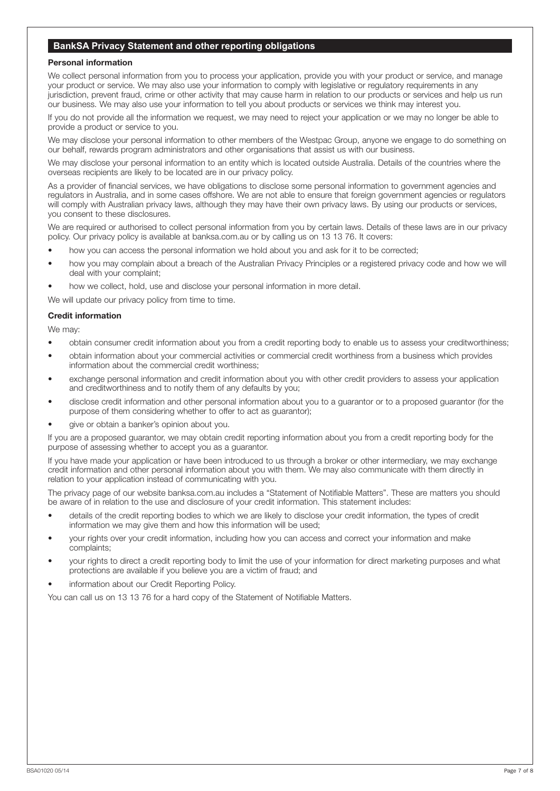# **BankSA Privacy Statement and other reporting obligations**

#### **Personal information**

We collect personal information from you to process your application, provide you with your product or service, and manage your product or service. We may also use your information to comply with legislative or regulatory requirements in any jurisdiction, prevent fraud, crime or other activity that may cause harm in relation to our products or services and help us run our business. We may also use your information to tell you about products or services we think may interest you.

If you do not provide all the information we request, we may need to reject your application or we may no longer be able to provide a product or service to you.

We may disclose your personal information to other members of the Westpac Group, anyone we engage to do something on our behalf, rewards program administrators and other organisations that assist us with our business.

We may disclose your personal information to an entity which is located outside Australia. Details of the countries where the overseas recipients are likely to be located are in our privacy policy.

As a provider of financial services, we have obligations to disclose some personal information to government agencies and regulators in Australia, and in some cases offshore. We are not able to ensure that foreign government agencies or regulators will comply with Australian privacy laws, although they may have their own privacy laws. By using our products or services, you consent to these disclosures.

We are required or authorised to collect personal information from you by certain laws. Details of these laws are in our privacy policy. Our privacy policy is available at banksa.com.au or by calling us on 13 13 76. It covers:

- how you can access the personal information we hold about you and ask for it to be corrected;
- how you may complain about a breach of the Australian Privacy Principles or a registered privacy code and how we will deal with your complaint;
- how we collect, hold, use and disclose your personal information in more detail.

We will update our privacy policy from time to time.

#### **Credit information**

We may:

- obtain consumer credit information about you from a credit reporting body to enable us to assess your creditworthiness;
- obtain information about your commercial activities or commercial credit worthiness from a business which provides information about the commercial credit worthiness;
- exchange personal information and credit information about you with other credit providers to assess your application and creditworthiness and to notify them of any defaults by you;
- disclose credit information and other personal information about you to a guarantor or to a proposed guarantor (for the purpose of them considering whether to offer to act as guarantor);
- give or obtain a banker's opinion about you.

If you are a proposed guarantor, we may obtain credit reporting information about you from a credit reporting body for the purpose of assessing whether to accept you as a guarantor.

If you have made your application or have been introduced to us through a broker or other intermediary, we may exchange credit information and other personal information about you with them. We may also communicate with them directly in relation to your application instead of communicating with you.

The privacy page of our website banksa.com.au includes a "Statement of Notifiable Matters". These are matters you should be aware of in relation to the use and disclosure of your credit information. This statement includes:

- details of the credit reporting bodies to which we are likely to disclose your credit information, the types of credit information we may give them and how this information will be used;
- your rights over your credit information, including how you can access and correct your information and make complaints;
- your rights to direct a credit reporting body to limit the use of your information for direct marketing purposes and what protections are available if you believe you are a victim of fraud; and
- information about our Credit Reporting Policy.

You can call us on 13 13 76 for a hard copy of the Statement of Notifiable Matters.